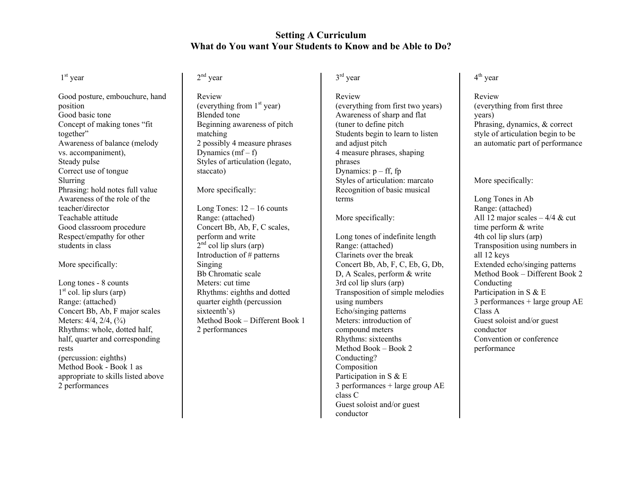## **Setting A Curriculum What do You want Your Students to Know and be Able to Do?**

#### 1<sup>st</sup> year

Good posture, embouchure, hand position Good basic tone Concept of making tones "fit together" Awareness of balance (melody vs. accompaniment), Steady pulse Correct use of tongue Slurring Phrasing: hold notes full value Awareness of the role of the teacher/director Teachable attitude Good classroom procedure Respect/empathy for other students in class

#### More specifically:

Long tones - 8 counts  $1<sup>st</sup>$  col. lip slurs (arp) Range: (attached) Concert Bb, Ab, F major scales Meters: 4/4, 2/4, (<sup>3</sup>/<sub>4</sub>) Rhythms: whole, dotted half, half, quarter and corresponding rests (percussion: eighths) Method Book - Book 1 as appropriate to skills listed above 2 performances

# 2<sup>nd</sup> year

Review (everything from  $1<sup>st</sup>$  year) Blended tone Beginning awareness of pitch matching 2 possibly 4 measure phrases Dynamics  $(mf - f)$ Styles of articulation (legato, staccato)

More specifically:

Long Tones:  $12 - 16$  counts Range: (attached) Concert Bb, Ab, F, C scales, perform and write  $2<sup>nd</sup>$  col lip slurs (arp) Introduction of # patterns Singing Bb Chromatic scale Meters: cut time Rhythms: eighths and dotted quarter eighth (percussion sixteenth's) Method Book – Different Book 1 2 performances

### 3<sup>rd</sup> year

Review (everything from first two years) Awareness of sharp and flat (tuner to define pitch Students begin to learn to listen and adjust pitch 4 measure phrases, shaping phrases Dynamics:  $p - ff$ , fp Styles of articulation: marcato Recognition of basic musical terms

#### More specifically:

Long tones of indefinite length Range: (attached) Clarinets over the break Concert Bb, Ab, F, C, Eb, G, Db, D, A Scales, perform & write 3rd col lip slurs (arp) Transposition of simple melodies using numbers Echo/singing patterns Meters: introduction of compound meters Rhythms: sixteenths Method Book – Book 2 Conducting? Composition Participation in S & E 3 performances + large group AE class C Guest soloist and/or guest conductor

## <sup>4</sup>th year

Review (everything from first three years) Phrasing, dynamics, & correct style of articulation begin to be an automatic part of performance

#### More specifically:

Long Tones in Ab Range: (attached) All 12 major scales  $-4/4$  & cut time perform & write 4th col lip slurs (arp) Transposition using numbers in all 12 keys Extended echo/singing patterns Method Book – Different Book 2 Conducting Participation in S & E 3 performances + large group AE Class A Guest soloist and/or guest conductor Convention or conference performance